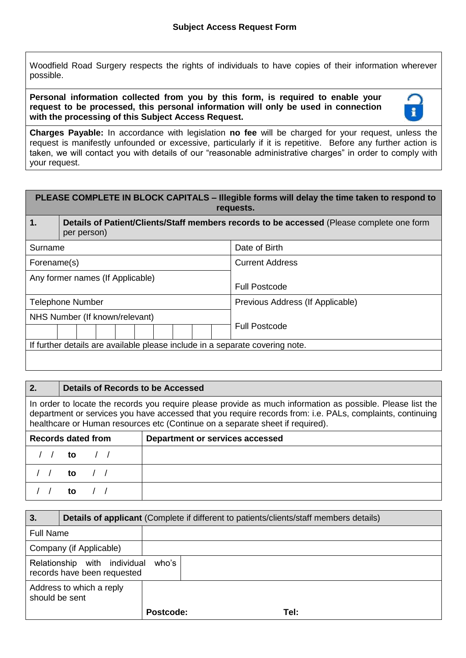Woodfield Road Surgery respects the rights of individuals to have copies of their information wherever possible.

**Personal information collected from you by this form, is required to enable your request to be processed, this personal information will only be used in connection with the processing of this Subject Access Request.**



**Charges Payable:** In accordance with legislation **no fee** will be charged for your request, unless the request is manifestly unfounded or excessive, particularly if it is repetitive. Before any further action is taken, we will contact you with details of our "reasonable administrative charges" in order to comply with your request.

| PLEASE COMPLETE IN BLOCK CAPITALS - Illegible forms will delay the time taken to respond to<br>requests. |                                                                                                          |                                  |  |  |  |
|----------------------------------------------------------------------------------------------------------|----------------------------------------------------------------------------------------------------------|----------------------------------|--|--|--|
| $\mathbf 1$ .                                                                                            | Details of Patient/Clients/Staff members records to be accessed (Please complete one form<br>per person) |                                  |  |  |  |
| Surname                                                                                                  |                                                                                                          | Date of Birth                    |  |  |  |
| Forename(s)                                                                                              |                                                                                                          | <b>Current Address</b>           |  |  |  |
| Any former names (If Applicable)                                                                         |                                                                                                          | <b>Full Postcode</b>             |  |  |  |
| <b>Telephone Number</b>                                                                                  |                                                                                                          | Previous Address (If Applicable) |  |  |  |
| NHS Number (If known/relevant)                                                                           |                                                                                                          | <b>Full Postcode</b>             |  |  |  |
| If further details are available please include in a separate covering note.                             |                                                                                                          |                                  |  |  |  |
|                                                                                                          |                                                                                                          |                                  |  |  |  |

## **2. Details of Records to be Accessed**

In order to locate the records you require please provide as much information as possible. Please list the department or services you have accessed that you require records from: i.e. PALs, complaints, continuing healthcare or Human resources etc (Continue on a separate sheet if required).

| <b>Records dated from</b> | <b>Department or services accessed</b> |
|---------------------------|----------------------------------------|
| to / /                    |                                        |
| to $\sqrt{ }$             |                                        |
| to /                      |                                        |

| 3.                                                          | <b>Details of applicant (Complete if different to patients/clients/staff members details)</b> |           |  |      |  |
|-------------------------------------------------------------|-----------------------------------------------------------------------------------------------|-----------|--|------|--|
| <b>Full Name</b>                                            |                                                                                               |           |  |      |  |
| Company (if Applicable)                                     |                                                                                               |           |  |      |  |
| Relationship with individual<br>records have been requested |                                                                                               | who's     |  |      |  |
| Address to which a reply<br>should be sent                  |                                                                                               |           |  |      |  |
|                                                             |                                                                                               | Postcode: |  | Tel: |  |